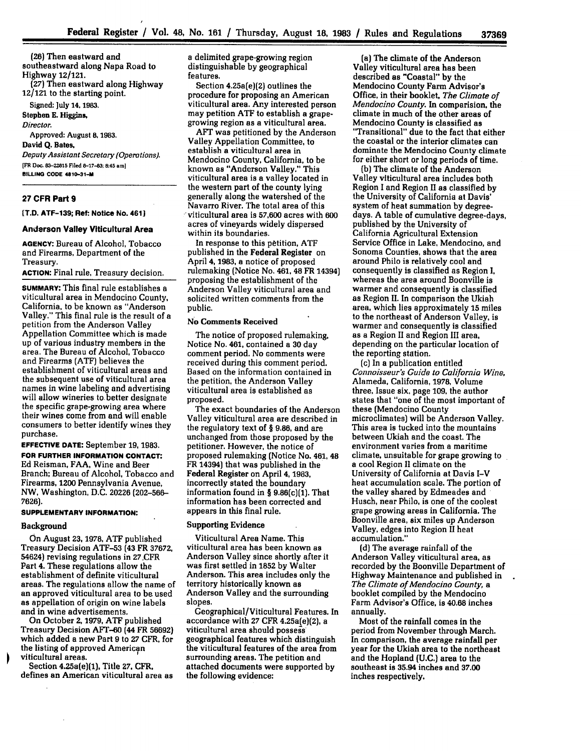**(26)** Then eastward and southeastward along Napa Road to Highway 12/121. **(27)** Then eastward along Highway 12/121 to the starting point. Signed: July **14, 1983.**

Stephen **E.** Higgins, *Director.* Approved: August **8, 1983. David Q.** Bates, *Deputy Assistant Secretary (Operations).* **[FR Ooc. 83-22815 Filed 8-17-83; 8:45 amj BILLING CODE 4810-31-M**

### **27 CFR Part 9**

**[T.D. ATF-139; Ref: Notice No. 4611**

#### **Anderson Valley Viticultural Area**

**AGENCY:** Bureau **of** Alcohol, Tobacco and Firearms, Department of the Treasury.

**ACTION:** Final rule, Treasury decision.

**SUMMARY:** This final rule establishes a viticultural area in Mendocino County, California, to be known as "Anderson Valley." This final rule is the result of a petition from the Anderson Valley Appellation Committee which is made up of various industry members in the area. The Bureau of Alcohol, Tobacco and Firearms **(ATF)** believes the establishment of viticultural areas and the subsequent use of viticultural area names in wine labeling and advertising will allow wineries to better designate the specific grape-growing area where their wines come from and will enable consumers to better identify wines they purchase.

**EFFECTIVE DATE:** September **19,** 1983. **FOR FURTHER INFORMATION CONTACT Ed** Reisman, **FAA,** Wine and Beer Branch; Bureau of Alcohol, Tobacco and Firearms, 1200 Pennsylvania Avenue, NW, Washington, **D.C. 20226 (202-566- 7626).**

# **SUPPLEMENTARY INFORMATION:**

### Background

On August **23, 1978, ATF** published Treasury Decision **ATF-53** (43 FR **37672,** 54624) revising regulations in 27-CFR Part 4. These regulations allow the establishment of definite viticultural areas. The regulations allow the name of an approved viticultural area to be used as appellation of origin on wine labels and in wine advertisements.

On October **2, 1979, ATF** published Treasury Decision AFT-60 **(44** FR **56692)** which added a new Part **9** to **27** CFR, for the listing of approved American viticultural areas.

Section 4.25a(e)(1), Title **27,** CFR, defines an American viticultural area as a delimited grape-growing region distinguishable **by** geographical features.

Section 4.25a(e)(2) outlines the procedure for proposing an American viticultural area. **Any** interested person may petition ATF to establish a grapegrowing region as a viticultural area.

AFT was petitioned **by** the Anderson Valley Appellation Committee, to establish a viticultural area in Mendocino County, California, to be known as "Anderson Valley." This viticultural area is a valley located in the western part of the county lying generally along the watershed of the Navarro River. The total area of this 'viticultural area is **57,600** acres with **600** acres of vineyards widely dispersed within its boundaries.

In response to this petition, ATF published in the Federal Register on April **4, 1983,** a notice of proposed rulemaking (Notice No. 461, 48 FR 14394) proposing the establishment of the Anderson Valley viticultural area and solicited written comments from the public.

#### No Comments Received

The notice of proposed rulemaking, Notice No. 461, contained a **30** day comment period. No comments were received during this comment period. Based on the information contained in the petition, the Anderson Valley viticultural area is established as proposed.

The exact boundaries of the Anderson Valley viticultural area are described in the regulatory text of § 9.86, and are unchanged from those proposed by the petitioner. However, the notice of proposed rulemaking (Notice No. 461, 48 FR 14394) that was published in the Federal Register on April 4, 1983, incorrectly stated the boundary information found in § 9.86(c)(1). That information has been corrected and appears in this final rule.

## Supporting Evidence

Viticultural Area Name. This viticultural area has been known as Anderson Valley since shortly after it was first settled in 1852 by Walter Anderson. This area includes only the territory historically known as Anderson Valley and the surrounding slopes.

Geographical/Viticultural Features. In accordance with **27** CFR 4.25a(e)(2), a viticultural area should possess geographical features which distinguish the viticultural features of the area from surrounding areas. The petition and attached documents were supported by the following evidence:

(a) The climate of the Anderson Valley viticultural area has been described as "Coastal" **by** the Mendocino County Farm Advisor's Office, in their booklet, *The Climate of Mendocino County.* In comparision, the climate in much of the other areas of Mendocino County is classified as "Transitional" due to the fact that either the coastal or the interior climates can dominate the Mendocino County climate for either short or long periods of time.

**(b)** The climate of the Anderson Valley viticultural area includes both Region I and Region II as classified **by** the University of California at Davis' system of heat summation **by** degreedays. A table of cumulative degree-days, published by the University of California Agricultural Extension Service Office in Lake, Mendocino, and Sonoma Counties, shows that the area around Philo is relatively cool and consequently is classified as Region I, whereas the area around Boonville is warmer and consequently is classified as Region II. In comparison the Ukiah area, which lies approximately **15** miles to the northeast of Anderson Valley, is warmer and consequently is classified as a Region II and Region III area, depending on the particular location of the reporting station.

(c) In a publication entitled *Connoisseur's Guide to California Wine,* Alameda, California, 1978, Volume three, Issue six, page 109, the author states that "one of the most important of these (Mendocino County microclimates) will be Anderson Valley. This area is tucked into the mountains between Ukiah and the coast. The environment varies from a maritime climate, unsuitable for grape growing to a cool Region II climate on the University of California at Davis I-V heat accumulation scale. The portion of the valley shared **by** Edmeades and Husch, near Philo, is one of the coolest grape growing areas in California. The Boonville area, six miles up Anderson Valley, edges into Region **II** heat accumulation."

**(d)** The average rainfall of the Anderson Valley viticultural area, as recorded **by** the Boonville Department of Highway Maintenance and published in *The Climate of Mendocino County, a* booklet compiled by the Mendocino Farm Advisor's Office, is 40.68 inches annually.

Most of the rainfall comes in the period from November through March. In comparison, the average rainfall per year for the Ukiah area to the northeast and the Hopland **(U.C.)** area to the southeast is 35.94 inches and **37.00** inches respectively.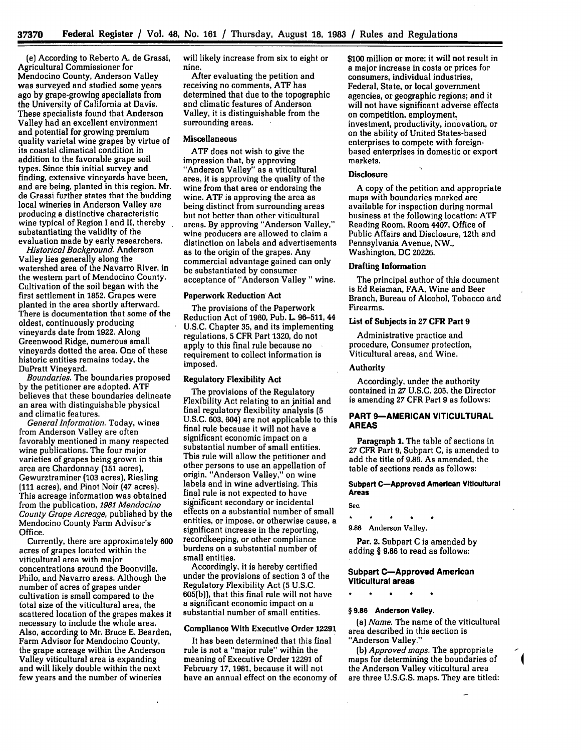(e) According to Reberto **A.** de Grassi, Agricultural Commissioner for Mendocino County, Anderson Valley was surveyed and studied some years ago **by** grape-growing specialists from the University of California at Davis. These specialists found that Anderson Valley had an excellent environment and potential for growing premium quality varietal wine grapes **by** virtue of its coastal climatical condition in addition to the favorable grape soil types. Since this initial survey and finding, extensive vineyards have been, and are being, planted in this region. Mr. de Grassi further states that the budding local wineries in Anderson Valley are producing a distinctive characteristic wine typical of Region I and **II,** thereby substantiating the validity of the evaluation made **by** early researchers.

*Historical Background.* Anderson Valley lies generally along the watershed area of the Navarro River, in the western part of Mendocino County. Cultivation of the soil began with the first settlement in **1852.** Grapes were planted in the area shortly afterward. There is documentation that some of the oldest, continuously producing vineyards date from **1922.** Along Greenwood Ridge, numerous small vineyards dotted the area. One of these historic entities remains today, the DuPratt Vineyard.

*Boundaries.* The boundaries proposed **by** the petitioner are adopted. **ATF** believes that these boundaries delineate an area with distinguishable physical and climatic features.

*General Information.* Today, wines from Anderson Valley are often favorably mentioned in many respected wine publications. The four major varieties of grapes being grown in this area are Chardonnay (151 acres), Gewurztraminer (103 acres), Riesling (111 acres), and Pinot Noir (47 acres). This acreage information was obtained from the publication, *1981 Mendocino County Grape Acreage,* published **by** the Mendocino County Farm Advisor's Office.

Currently, there are approximately **600** acres of grapes located within the viticultural area with major concentrations around the Boonville, Philo, and Navarro areas. Although the number of acres of grapes under cultivation is small compared to the total size of the viticultural area, the scattered location of the grapes makes it necessary to include the whole area. Also, according to Mr. Bruce **E.** Bearden, Farm Advisor for Mendocino County, the grape acreage within the Anderson Valley viticultural area is expanding and will likely double within the next few years and the number of wineries

will likely increase from six to eight or nine.

After evaluating the petition and receiving no comments, **ATF** has determined that due to the topographic and climatic features of Anderson Valley, it is distinguishable from the surrounding areas.

### Miscellaneous

**ATF** does not wish to give the impression that, **by** approving "Anderson Valley" as a viticultural area, it is approving the quality of the wine from that area or endorsing the wine. **ATF** is approving the area as being distinct from surrounding areas but not better than other viticultural areas. **By** approving "Anderson Valley," wine producers are allowed to claim a distinction on labels and advertisements as to the origin of the grapes. Any commercial advantage gained can only be substantiated **by** consumer acceptance of "Anderson Valley" wine.

## Paperwork Reduction Act

The provisions of the Paperwork Reduction Act of **1980,** Pub. L. **96-511,** 44 **U.S.C.** Chapter **35,** and its implementing regulations, **5** CFR Part **1320,** do not apply to this final rule because no requirement to collect information is imposed.

### Regulatory Flexibility Act

The provisions of the Regulatory Flexibility Act relating to an initial and final regulatory flexibility analysis **(5 U.S.C. 603,** 604) are not applicable to this final rule because it will not have a significant economic impact on a substantial number of small entities. This rule will allow the petitioner and other persons to use an appellation of origin, "Anderson Valley," on wine labels and in wine advertising. This final rule is not expected to have significant secondary or incidental effects on a substantial number of small entities, or impose, or otherwise cause, a significant increase in the reporting, recordkeeping, or other compliance burdens on a substantial number of small entities.

Accordingly, it is hereby certified under the provisions of section 3 of the Regulatory Flexibility Act **(5** U.S.C. 605(b)), that this final rule will not have a significant economic impact on a substantial number of small entities.

## Compliance With Executive Order 12291

It has been determined that this final rule is not a "major rule" within the meaning of Executive Order 12291 of February **17, 1981,** because it will not have an annual effect on the economy of **\$100** million or more; it will not result in a major increase in costs or prices for consumers, individual industries, Federal, State, or local government agencies, or geographic regions; and it will not have significant adverse effects on competition, employment, investment, productivity, innovation, or on the ability of United States-based enterprises to compete with foreignbased enterprises in domestic or export markets.

## Disclosure

A copy of the petition and appropriate maps with boundaries marked are available for inspection during normal business at the following location: **ATF** Reading Room, Room 4407, Office of Public Affairs and Disclosure, 12th and Pennsylvania Avenue, NW., Washington, **DC** 20226.

### Drafting Information

The principal author of this document is **Ed** Reisman, **FAA,** Wine and Beer Branch, Bureau of Alcohol, Tobacco and Firearms.

## List of Subjects in **27** CFR Part **9**

Administrative practice and procedure, Consumer protection, Viticultural areas, and Wine.

## Authority

Accordingly, under the authority contained in **27** U.S.C. **205,** the Director is amending **27** CFR Part 9 as follows:

## **PART 9-AMERICAN VITICULTURAL AREAS**

**Paragraph 1.** The table of sections in 27 CFR Part **9,** Subpart **C,** is amended to add the title of 9.86. As amended, the table of sections reads as follows:

## **Subpart C-Approved American Viticultural Areas**

Sec.

 $\mathcal{L}^{\mathcal{L}}$ 

 $\bullet$  $\star$  $\bullet$ 

**9.86** Anderson Valley.

**Par.** 2. Subpart **C** is amended **by** adding § **9.86** to read as **follows:**

## **Subpart C-Approved American Viticultural areas**

 $\ddot{\phantom{0}}$ 

## **§ 9.86 Anderson Valley.**

*(a) Name.* The name of the viticultural area described in this section is "Anderson Valley."

**(b)** *Approved maps.* The appropriate maps for determining the boundaries of the Anderson Valley viticultural area are three U.S.G.S. maps. They are titled: